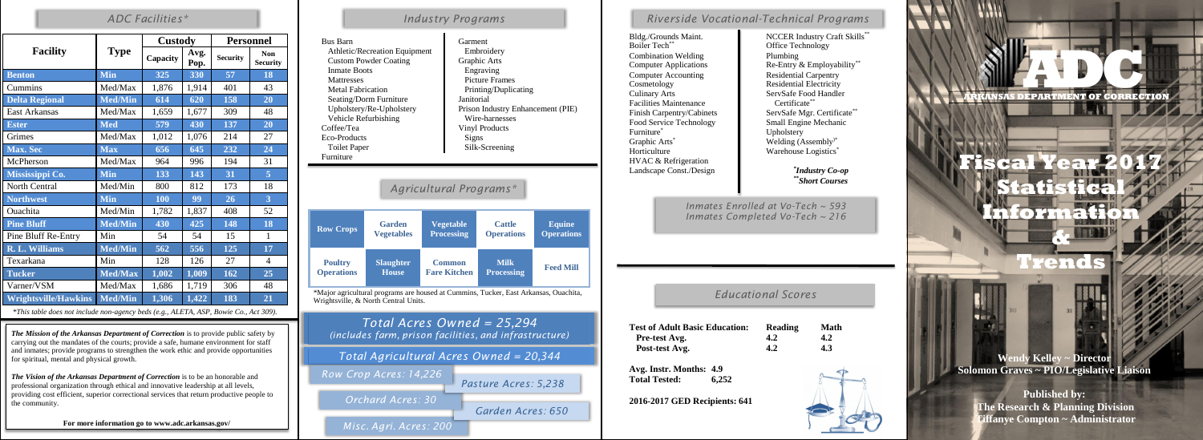|                             |                | <b>Custody</b> |              | <b>Personnel</b> |                               |  |
|-----------------------------|----------------|----------------|--------------|------------------|-------------------------------|--|
| <b>Facility</b>             | <b>Type</b>    | Capacity       | Avg.<br>Pop. | <b>Security</b>  | <b>Non</b><br><b>Security</b> |  |
| <b>Benton</b>               | <b>Min</b>     | 325            | 330          | 57               | 18                            |  |
| Cummins                     | Med/Max        | 1,876          | 1,914        | 401              | 43                            |  |
| <b>Delta Regional</b>       | <b>Med/Min</b> | 614            | 620          | 158              | 20                            |  |
| <b>East Arkansas</b>        | Med/Max        | 1,659          | 1,677        | 309              | 48                            |  |
| <b>Ester</b>                | <b>Med</b>     | 579            | 430          | 137              | 20                            |  |
| Grimes                      | Med/Max        | 1,012          | 1,076        | 214              | 27                            |  |
| <b>Max. Sec</b>             | <b>Max</b>     | 656            | 645          | 232              | 24                            |  |
| McPherson                   | Med/Max        | 964            | 996          | 194              | 31                            |  |
| Mississippi Co.             | <b>Min</b>     | 133            | 143          | 31               | $\overline{5}$                |  |
| North Central               | Med/Min        | 800            | 812          | 173              | 18                            |  |
| <b>Northwest</b>            | <b>Min</b>     | 100            | 99           | 26               | $\overline{3}$                |  |
| Ouachita                    | Med/Min        | 1,782          | 1,837        | 408              | 52                            |  |
| <b>Pine Bluff</b>           | <b>Med/Min</b> | 430            | 425          | 148              | 18                            |  |
| Pine Bluff Re-Entry         | Min            | 54             | 54           | 15               | $\mathbf{1}$                  |  |
| <b>R. L. Williams</b>       | <b>Med/Min</b> | 562            | 556          | 125              | 17                            |  |
| Texarkana                   | Min            | 128            | 126          | 27               | $\overline{4}$                |  |
| <b>Tucker</b>               | <b>Med/Max</b> | 1,002          | 1,009        | 162              | 25                            |  |
| Varner/VSM                  | Med/Max        | 1,686          | 1,719        | 306              | 48                            |  |
| <b>Wrightsville/Hawkins</b> | <b>Med/Min</b> | 1,306          | 1,422        | 183              | 21                            |  |

#### *\*This table does not include non-agency beds (e.g., ALETA, ASP, Bowie Co., Act 309).*

Boiler Tech<sup>\*\*</sup> **Community Office Technology** Combination Welding Plumbing Computer Accounting Residential Carpentry<br>
Residential Electricity<br>
Residential Electricity Culinary Arts ServSafe Food Handler Facilities Maintenance Finish Carpentry/Cabinets Food Service Technology<br>
Furniture<sup>\*</sup> Upholsterv<br>
Upholsterv Graphic Arts<sup>\*</sup> Welding (Assembly<sup>)\*</sup> Horticulture Warehouse Logistics<sup>\*</sup> HVAC & Refrigeration Landscape Const./Design

**Avg.** Instr. M **Total Tested: 6,252**

*Total Acres Owned = 25,294 (includes farm, prison facilities, and infrastructure)*

| <b>Bus Barn</b><br>Athletic/Recreation Equipment<br><b>Custom Powder Coating</b><br><b>Inmate Boots</b><br>Mattresses<br><b>Metal Fabrication</b><br>Seating/Dorm Furniture<br>Upholstery/Re-Upholstery<br>Vehicle Refurbishing<br>Coffee/Tea<br>Eco-Products<br><b>Toilet Paper</b><br>Furniture |                                    |                                       | Garment<br>Embroidery<br>Graphic Arts<br>Engraving<br><b>Picture Frames</b><br>Printing/Duplicating<br>Janitorial<br>Prison Industry Enhancement (PIE)<br>Wire-harnesses<br><b>Vinyl Products</b><br>Signs<br>Silk-Screening |                                    |                                    |  |
|---------------------------------------------------------------------------------------------------------------------------------------------------------------------------------------------------------------------------------------------------------------------------------------------------|------------------------------------|---------------------------------------|------------------------------------------------------------------------------------------------------------------------------------------------------------------------------------------------------------------------------|------------------------------------|------------------------------------|--|
| Agricultural Programs*                                                                                                                                                                                                                                                                            |                                    |                                       |                                                                                                                                                                                                                              |                                    |                                    |  |
| <b>Row Crops</b>                                                                                                                                                                                                                                                                                  | <b>Garden</b><br><b>Vegetables</b> | <b>Vegetable</b><br><b>Processing</b> |                                                                                                                                                                                                                              | <b>Cattle</b><br><b>Operations</b> | <b>Equine</b><br><b>Operations</b> |  |
| <b>Poultry</b><br><b>Operations</b>                                                                                                                                                                                                                                                               | <b>Slaughter</b><br><b>House</b>   | <b>Common</b><br><b>Fare Kitchen</b>  |                                                                                                                                                                                                                              | <b>Milk</b><br><b>Processing</b>   | <b>Feed Mill</b>                   |  |
| *Major agricultural programs are housed at Cummins, Tucker, East Arkansas, Ouachita,                                                                                                                                                                                                              |                                    |                                       |                                                                                                                                                                                                                              |                                    |                                    |  |



*\* Industry Co-op \*\* Short Courses*

### *ADC Facilities\* Industry Programs*

#### *Educational Scores*

| <b>Basic Education:</b> | Reading | <b>Math</b> |
|-------------------------|---------|-------------|
| ŗ.                      | 4.2     | 4.2         |
| g.                      | 4.2     | 4.3         |
| onths: 4.9<br>6,252     |         |             |





## *Riverside Vocational-Technical Programs*

Bldg./Grounds Maint. NCCER Industry Craft Skills<sup>\*\*</sup> Computer Applications Re-Entry & Employability<sup>\*\*</sup> Residential Electricity Certificate\*\* ServSafe Mgr. Certificate<sup>\*</sup> Upholstery

**2016-2017 GED Recipients: 641**

*Inmates Enrolled at Vo-Tech ~ 593 Inmates Completed Vo-Tech ~ 216*

*The Mission of the Arkansas Department of Correction* is to provide public safety by carrying out the mandates of the courts; provide a safe, humane environment for staff and inmates; provide programs to strengthen the work ethic and provide opportunities for spiritual, mental and physical growth.

*The Vision of the Arkansas Department of Correction* is to be an honorable and professional organization through ethical and innovative leadership at all levels, providing cost efficient, superior correctional services that return productive people to the community.

**For more information go to www.adc.arkansas.gov/**

*Total Agricultural Acres Owned = 20,344*

*Misc. Agri. Acres: 200*

**Test of Adult Pre-test Avg. Post-test Av** 

*Garden Acres: 650*

*Orchard Acres: 30*

*Pasture Acres: 5,238 Row Crop Acres: 14,226*